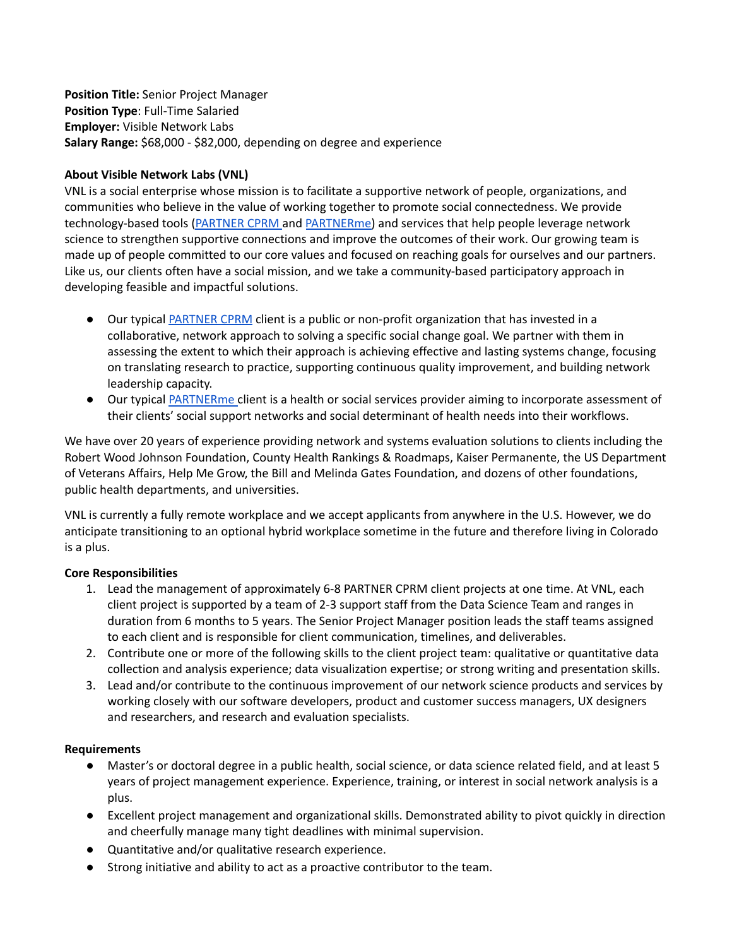**Position Title:** Senior Project Manager **Position Type**: Full-Time Salaried **Employer:** Visible Network Labs **Salary Range:** \$68,000 - \$82,000, depending on degree and experience

### **About Visible Network Labs (VNL)**

VNL is a social enterprise whose mission is to facilitate a supportive network of people, organizations, and communities who believe in the value of working together to promote social connectedness. We provide technology-based tools [\(PARTNER CPRM](https://visiblenetworklabs.com/partner-platform/) and [PARTNERme\)](https://visiblenetworklabs.com/partnerme/) and services that help people leverage network science to strengthen supportive connections and improve the outcomes of their work. Our growing team is made up of people committed to our core values and focused on reaching goals for ourselves and our partners. Like us, our clients often have a social mission, and we take a community-based participatory approach in developing feasible and impactful solutions.

- Our typical [PARTNER CPRM](https://visiblenetworklabs.com/partner-platform/) client is a public or non-profit organization that has invested in a collaborative, network approach to solving a specific social change goal. We partner with them in assessing the extent to which their approach is achieving effective and lasting systems change, focusing on translating research to practice, supporting continuous quality improvement, and building network leadership capacity.
- Our typical [PARTNERme](https://visiblenetworklabs.com/partnerme/) client is a health or social services provider aiming to incorporate assessment of their clients' social support networks and social determinant of health needs into their workflows.

We have over 20 years of experience providing network and systems evaluation solutions to clients including the Robert Wood Johnson Foundation, County Health Rankings & Roadmaps, Kaiser Permanente, the US Department of Veterans Affairs, Help Me Grow, the Bill and Melinda Gates Foundation, and dozens of other foundations, public health departments, and universities.

VNL is currently a fully remote workplace and we accept applicants from anywhere in the U.S. However, we do anticipate transitioning to an optional hybrid workplace sometime in the future and therefore living in Colorado is a plus.

# **Core Responsibilities**

- 1. Lead the management of approximately 6-8 PARTNER CPRM client projects at one time. At VNL, each client project is supported by a team of 2-3 support staff from the Data Science Team and ranges in duration from 6 months to 5 years. The Senior Project Manager position leads the staff teams assigned to each client and is responsible for client communication, timelines, and deliverables.
- 2. Contribute one or more of the following skills to the client project team: qualitative or quantitative data collection and analysis experience; data visualization expertise; or strong writing and presentation skills.
- 3. Lead and/or contribute to the continuous improvement of our network science products and services by working closely with our software developers, product and customer success managers, UX designers and researchers, and research and evaluation specialists.

#### **Requirements**

- Master's or doctoral degree in a public health, social science, or data science related field, and at least 5 years of project management experience. Experience, training, or interest in social network analysis is a plus.
- Excellent project management and organizational skills. Demonstrated ability to pivot quickly in direction and cheerfully manage many tight deadlines with minimal supervision.
- Quantitative and/or qualitative research experience.
- Strong initiative and ability to act as a proactive contributor to the team.